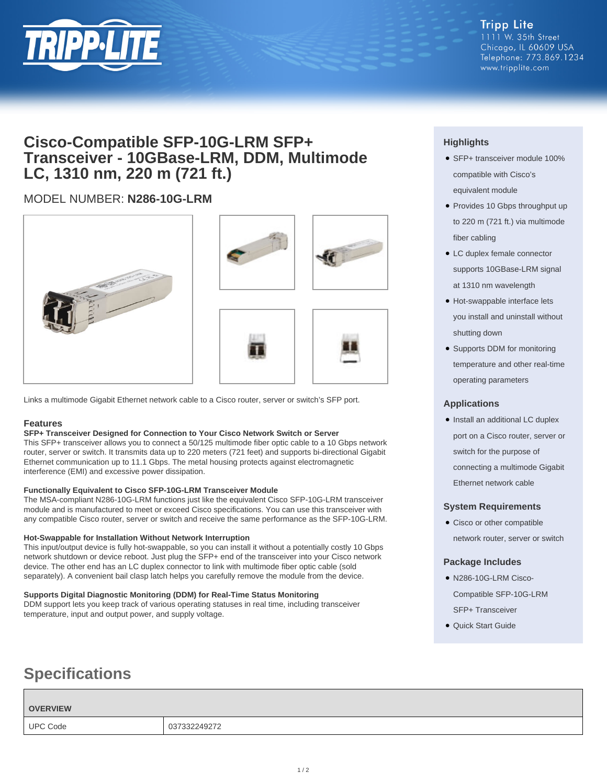

# **Cisco-Compatible SFP-10G-LRM SFP+ Transceiver - 10GBase-LRM, DDM, Multimode LC, 1310 nm, 220 m (721 ft.)**

## MODEL NUMBER: **N286-10G-LRM**







Links a multimode Gigabit Ethernet network cable to a Cisco router, server or switch's SFP port.

### **Features**

### **SFP+ Transceiver Designed for Connection to Your Cisco Network Switch or Server**

This SFP+ transceiver allows you to connect a 50/125 multimode fiber optic cable to a 10 Gbps network router, server or switch. It transmits data up to 220 meters (721 feet) and supports bi-directional Gigabit Ethernet communication up to 11.1 Gbps. The metal housing protects against electromagnetic interference (EMI) and excessive power dissipation.

### **Functionally Equivalent to Cisco SFP-10G-LRM Transceiver Module**

The MSA-compliant N286-10G-LRM functions just like the equivalent Cisco SFP-10G-LRM transceiver module and is manufactured to meet or exceed Cisco specifications. You can use this transceiver with any compatible Cisco router, server or switch and receive the same performance as the SFP-10G-LRM.

### **Hot-Swappable for Installation Without Network Interruption**

This input/output device is fully hot-swappable, so you can install it without a potentially costly 10 Gbps network shutdown or device reboot. Just plug the SFP+ end of the transceiver into your Cisco network device. The other end has an LC duplex connector to link with multimode fiber optic cable (sold separately). A convenient bail clasp latch helps you carefully remove the module from the device.

### **Supports Digital Diagnostic Monitoring (DDM) for Real-Time Status Monitoring**

DDM support lets you keep track of various operating statuses in real time, including transceiver temperature, input and output power, and supply voltage.

# **Specifications**

# **OVERVIEW** UPC Code 037332249272

### **Highlights**

- SFP+ transceiver module 100% compatible with Cisco's equivalent module
- Provides 10 Gbps throughput up to 220 m (721 ft.) via multimode fiber cabling
- LC duplex female connector supports 10GBase-LRM signal at 1310 nm wavelength
- Hot-swappable interface lets you install and uninstall without shutting down
- Supports DDM for monitoring temperature and other real-time operating parameters

### **Applications**

• Install an additional LC duplex port on a Cisco router, server or switch for the purpose of connecting a multimode Gigabit Ethernet network cable

### **System Requirements**

• Cisco or other compatible network router, server or switch

### **Package Includes**

- N286-10G-LRM Cisco-Compatible SFP-10G-LRM SFP+ Transceiver
- Quick Start Guide